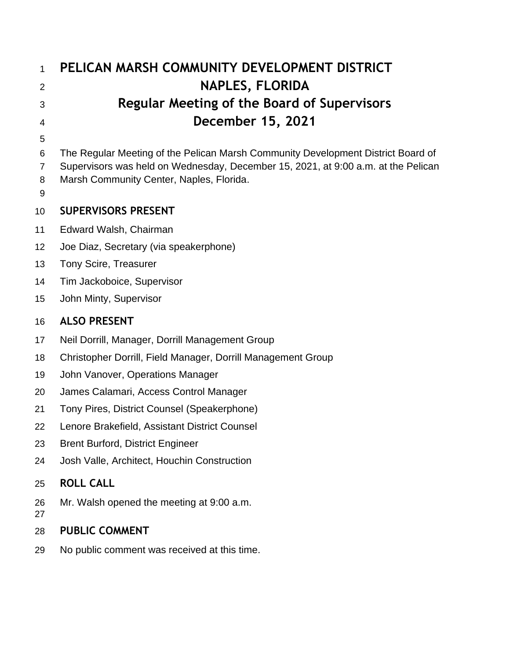| $\mathbf{1}$        | PELICAN MARSH COMMUNITY DEVELOPMENT DISTRICT                                                                                  |
|---------------------|-------------------------------------------------------------------------------------------------------------------------------|
| $\overline{2}$      | <b>NAPLES, FLORIDA</b>                                                                                                        |
| 3                   | Regular Meeting of the Board of Supervisors                                                                                   |
| 4                   | <b>December 15, 2021</b>                                                                                                      |
| 5                   |                                                                                                                               |
| 6                   | The Regular Meeting of the Pelican Marsh Community Development District Board of                                              |
| $\overline{7}$<br>8 | Supervisors was held on Wednesday, December 15, 2021, at 9:00 a.m. at the Pelican<br>Marsh Community Center, Naples, Florida. |
| 9                   |                                                                                                                               |
| 10                  | <b>SUPERVISORS PRESENT</b>                                                                                                    |
| 11                  | Edward Walsh, Chairman                                                                                                        |
| 12                  | Joe Diaz, Secretary (via speakerphone)                                                                                        |
| 13                  | <b>Tony Scire, Treasurer</b>                                                                                                  |
| 14                  | Tim Jackoboice, Supervisor                                                                                                    |
| 15                  | John Minty, Supervisor                                                                                                        |
|                     |                                                                                                                               |
| 16                  | <b>ALSO PRESENT</b>                                                                                                           |
| 17                  | Neil Dorrill, Manager, Dorrill Management Group                                                                               |
| 18                  | Christopher Dorrill, Field Manager, Dorrill Management Group                                                                  |
| 19                  | John Vanover, Operations Manager                                                                                              |
| 20                  | James Calamari, Access Control Manager                                                                                        |
| 21                  | Tony Pires, District Counsel (Speakerphone)                                                                                   |
| 22                  | Lenore Brakefield, Assistant District Counsel                                                                                 |
| 23                  | <b>Brent Burford, District Engineer</b>                                                                                       |
| 24                  | Josh Valle, Architect, Houchin Construction                                                                                   |
| 25                  | <b>ROLL CALL</b>                                                                                                              |
| 26<br>27            | Mr. Walsh opened the meeting at 9:00 a.m.                                                                                     |
| 28                  | <b>PUBLIC COMMENT</b>                                                                                                         |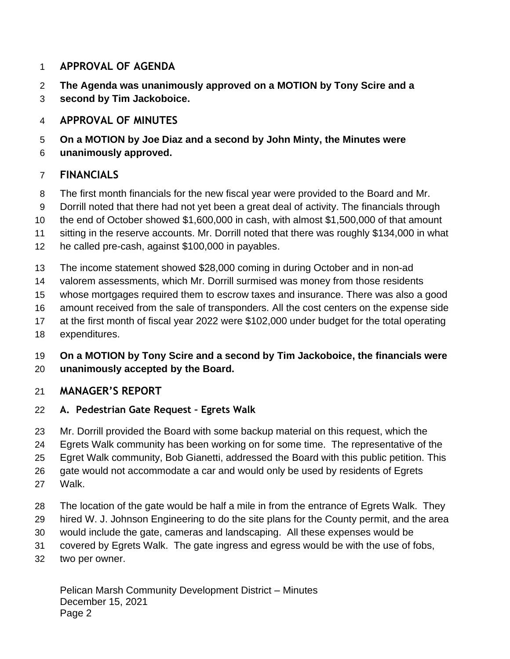### **APPROVAL OF AGENDA**

- **The Agenda was unanimously approved on a MOTION by Tony Scire and a**
- **second by Tim Jackoboice.**

# **APPROVAL OF MINUTES**

- **On a MOTION by Joe Diaz and a second by John Minty, the Minutes were**
- **unanimously approved.**

## **FINANCIALS**

- The first month financials for the new fiscal year were provided to the Board and Mr.
- Dorrill noted that there had not yet been a great deal of activity. The financials through
- the end of October showed \$1,600,000 in cash, with almost \$1,500,000 of that amount

sitting in the reserve accounts. Mr. Dorrill noted that there was roughly \$134,000 in what

- he called pre-cash, against \$100,000 in payables.
- The income statement showed \$28,000 coming in during October and in non-ad
- valorem assessments, which Mr. Dorrill surmised was money from those residents
- whose mortgages required them to escrow taxes and insurance. There was also a good
- amount received from the sale of transponders. All the cost centers on the expense side
- at the first month of fiscal year 2022 were \$102,000 under budget for the total operating
- expenditures.

#### **On a MOTION by Tony Scire and a second by Tim Jackoboice, the financials were unanimously accepted by the Board.**

## **MANAGER'S REPORT**

- **A. Pedestrian Gate Request – Egrets Walk**
- Mr. Dorrill provided the Board with some backup material on this request, which the
- Egrets Walk community has been working on for some time. The representative of the
- Egret Walk community, Bob Gianetti, addressed the Board with this public petition. This
- gate would not accommodate a car and would only be used by residents of Egrets
- Walk.
- The location of the gate would be half a mile in from the entrance of Egrets Walk. They
- hired W. J. Johnson Engineering to do the site plans for the County permit, and the area
- would include the gate, cameras and landscaping. All these expenses would be
- covered by Egrets Walk. The gate ingress and egress would be with the use of fobs,
- two per owner.

Pelican Marsh Community Development District – Minutes December 15, 2021 Page 2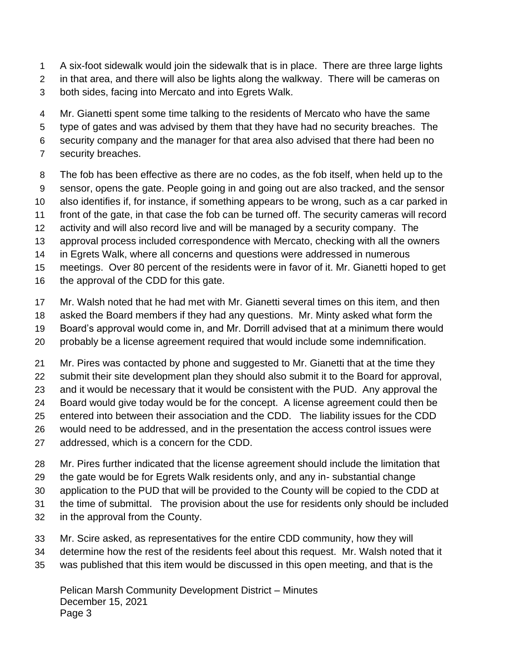A six-foot sidewalk would join the sidewalk that is in place. There are three large lights

- in that area, and there will also be lights along the walkway. There will be cameras on
- both sides, facing into Mercato and into Egrets Walk.
- Mr. Gianetti spent some time talking to the residents of Mercato who have the same
- type of gates and was advised by them that they have had no security breaches. The
- security company and the manager for that area also advised that there had been no
- security breaches.
- The fob has been effective as there are no codes, as the fob itself, when held up to the sensor, opens the gate. People going in and going out are also tracked, and the sensor also identifies if, for instance, if something appears to be wrong, such as a car parked in front of the gate, in that case the fob can be turned off. The security cameras will record activity and will also record live and will be managed by a security company. The approval process included correspondence with Mercato, checking with all the owners
- in Egrets Walk, where all concerns and questions were addressed in numerous
- meetings. Over 80 percent of the residents were in favor of it. Mr. Gianetti hoped to get
- the approval of the CDD for this gate.
- Mr. Walsh noted that he had met with Mr. Gianetti several times on this item, and then
- asked the Board members if they had any questions. Mr. Minty asked what form the
- Board's approval would come in, and Mr. Dorrill advised that at a minimum there would
- probably be a license agreement required that would include some indemnification.
- Mr. Pires was contacted by phone and suggested to Mr. Gianetti that at the time they
- submit their site development plan they should also submit it to the Board for approval,
- and it would be necessary that it would be consistent with the PUD. Any approval the
- Board would give today would be for the concept. A license agreement could then be
- entered into between their association and the CDD. The liability issues for the CDD
- would need to be addressed, and in the presentation the access control issues were
- addressed, which is a concern for the CDD.
- Mr. Pires further indicated that the license agreement should include the limitation that
- the gate would be for Egrets Walk residents only, and any in- substantial change
- application to the PUD that will be provided to the County will be copied to the CDD at
- the time of submittal. The provision about the use for residents only should be included
- in the approval from the County.
- Mr. Scire asked, as representatives for the entire CDD community, how they will
- determine how the rest of the residents feel about this request. Mr. Walsh noted that it
- was published that this item would be discussed in this open meeting, and that is the

Pelican Marsh Community Development District – Minutes December 15, 2021 Page 3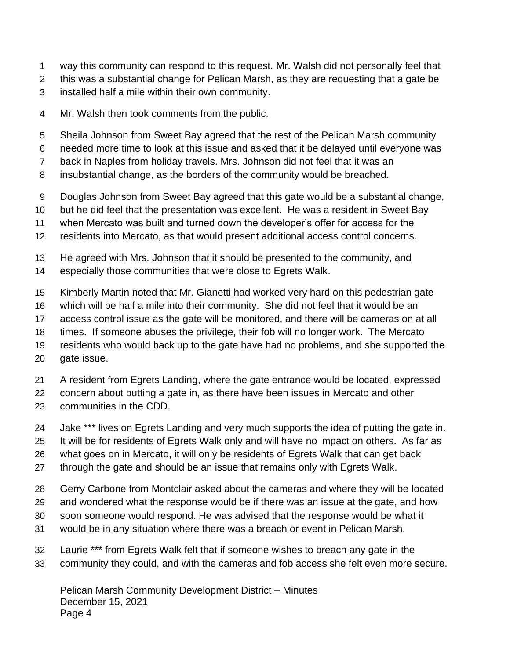- way this community can respond to this request. Mr. Walsh did not personally feel that
- this was a substantial change for Pelican Marsh, as they are requesting that a gate be
- installed half a mile within their own community.
- Mr. Walsh then took comments from the public.
- Sheila Johnson from Sweet Bay agreed that the rest of the Pelican Marsh community
- needed more time to look at this issue and asked that it be delayed until everyone was
- back in Naples from holiday travels. Mrs. Johnson did not feel that it was an
- insubstantial change, as the borders of the community would be breached.
- Douglas Johnson from Sweet Bay agreed that this gate would be a substantial change,
- but he did feel that the presentation was excellent. He was a resident in Sweet Bay
- when Mercato was built and turned down the developer's offer for access for the
- residents into Mercato, as that would present additional access control concerns.
- He agreed with Mrs. Johnson that it should be presented to the community, and
- especially those communities that were close to Egrets Walk.
- Kimberly Martin noted that Mr. Gianetti had worked very hard on this pedestrian gate
- which will be half a mile into their community. She did not feel that it would be an
- access control issue as the gate will be monitored, and there will be cameras on at all
- times. If someone abuses the privilege, their fob will no longer work. The Mercato
- residents who would back up to the gate have had no problems, and she supported the gate issue.
- A resident from Egrets Landing, where the gate entrance would be located, expressed
- concern about putting a gate in, as there have been issues in Mercato and other
- communities in the CDD.
- 24 Jake \*\*\* lives on Egrets Landing and very much supports the idea of putting the gate in.
- It will be for residents of Egrets Walk only and will have no impact on others. As far as
- what goes on in Mercato, it will only be residents of Egrets Walk that can get back
- through the gate and should be an issue that remains only with Egrets Walk.
- Gerry Carbone from Montclair asked about the cameras and where they will be located
- and wondered what the response would be if there was an issue at the gate, and how
- soon someone would respond. He was advised that the response would be what it
- would be in any situation where there was a breach or event in Pelican Marsh.
- Laurie \*\*\* from Egrets Walk felt that if someone wishes to breach any gate in the community they could, and with the cameras and fob access she felt even more secure.

Pelican Marsh Community Development District – Minutes December 15, 2021 Page 4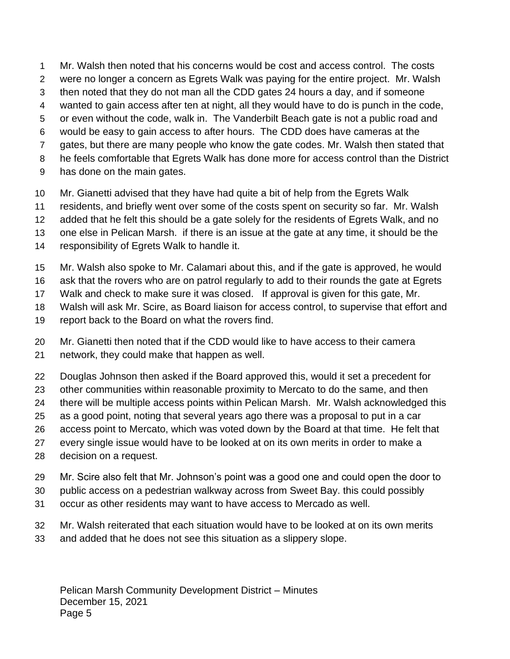Mr. Walsh then noted that his concerns would be cost and access control. The costs

- were no longer a concern as Egrets Walk was paying for the entire project. Mr. Walsh
- then noted that they do not man all the CDD gates 24 hours a day, and if someone
- wanted to gain access after ten at night, all they would have to do is punch in the code,
- or even without the code, walk in. The Vanderbilt Beach gate is not a public road and would be easy to gain access to after hours. The CDD does have cameras at the
- gates, but there are many people who know the gate codes. Mr. Walsh then stated that
- he feels comfortable that Egrets Walk has done more for access control than the District
- has done on the main gates.
- Mr. Gianetti advised that they have had quite a bit of help from the Egrets Walk
- residents, and briefly went over some of the costs spent on security so far. Mr. Walsh
- added that he felt this should be a gate solely for the residents of Egrets Walk, and no
- one else in Pelican Marsh. if there is an issue at the gate at any time, it should be the
- responsibility of Egrets Walk to handle it.
- Mr. Walsh also spoke to Mr. Calamari about this, and if the gate is approved, he would
- ask that the rovers who are on patrol regularly to add to their rounds the gate at Egrets
- Walk and check to make sure it was closed. If approval is given for this gate, Mr.
- Walsh will ask Mr. Scire, as Board liaison for access control, to supervise that effort and
- report back to the Board on what the rovers find.
- Mr. Gianetti then noted that if the CDD would like to have access to their camera network, they could make that happen as well.
- Douglas Johnson then asked if the Board approved this, would it set a precedent for
- other communities within reasonable proximity to Mercato to do the same, and then
- there will be multiple access points within Pelican Marsh. Mr. Walsh acknowledged this
- as a good point, noting that several years ago there was a proposal to put in a car
- access point to Mercato, which was voted down by the Board at that time. He felt that
- every single issue would have to be looked at on its own merits in order to make a decision on a request.
- Mr. Scire also felt that Mr. Johnson's point was a good one and could open the door to
- public access on a pedestrian walkway across from Sweet Bay. this could possibly
- occur as other residents may want to have access to Mercado as well.
- Mr. Walsh reiterated that each situation would have to be looked at on its own merits
- and added that he does not see this situation as a slippery slope.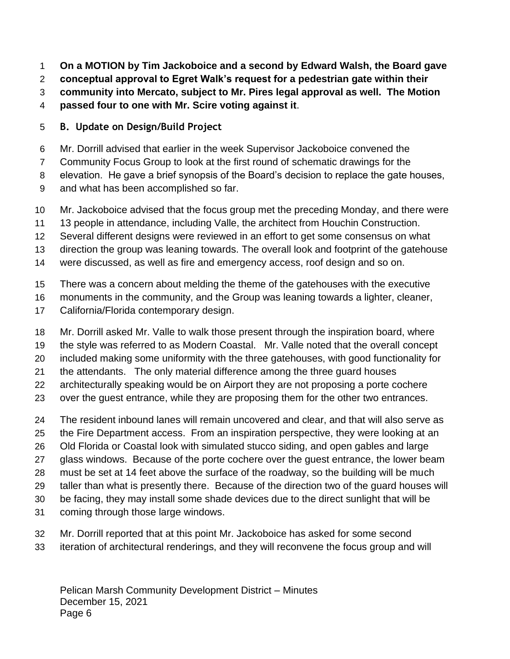**On a MOTION by Tim Jackoboice and a second by Edward Walsh, the Board gave** 

**conceptual approval to Egret Walk's request for a pedestrian gate within their** 

- **community into Mercato, subject to Mr. Pires legal approval as well. The Motion**
- **passed four to one with Mr. Scire voting against it**.

## **B. Update on Design/Build Project**

- Mr. Dorrill advised that earlier in the week Supervisor Jackoboice convened the
- Community Focus Group to look at the first round of schematic drawings for the
- elevation. He gave a brief synopsis of the Board's decision to replace the gate houses,
- and what has been accomplished so far.
- Mr. Jackoboice advised that the focus group met the preceding Monday, and there were
- 13 people in attendance, including Valle, the architect from Houchin Construction.
- Several different designs were reviewed in an effort to get some consensus on what
- direction the group was leaning towards. The overall look and footprint of the gatehouse
- were discussed, as well as fire and emergency access, roof design and so on.
- There was a concern about melding the theme of the gatehouses with the executive
- monuments in the community, and the Group was leaning towards a lighter, cleaner,
- California/Florida contemporary design.
- Mr. Dorrill asked Mr. Valle to walk those present through the inspiration board, where
- the style was referred to as Modern Coastal. Mr. Valle noted that the overall concept
- included making some uniformity with the three gatehouses, with good functionality for
- the attendants. The only material difference among the three guard houses
- architecturally speaking would be on Airport they are not proposing a porte cochere
- over the guest entrance, while they are proposing them for the other two entrances.
- The resident inbound lanes will remain uncovered and clear, and that will also serve as the Fire Department access. From an inspiration perspective, they were looking at an Old Florida or Coastal look with simulated stucco siding, and open gables and large glass windows. Because of the porte cochere over the guest entrance, the lower beam must be set at 14 feet above the surface of the roadway, so the building will be much taller than what is presently there. Because of the direction two of the guard houses will be facing, they may install some shade devices due to the direct sunlight that will be
- coming through those large windows.
- Mr. Dorrill reported that at this point Mr. Jackoboice has asked for some second
- iteration of architectural renderings, and they will reconvene the focus group and will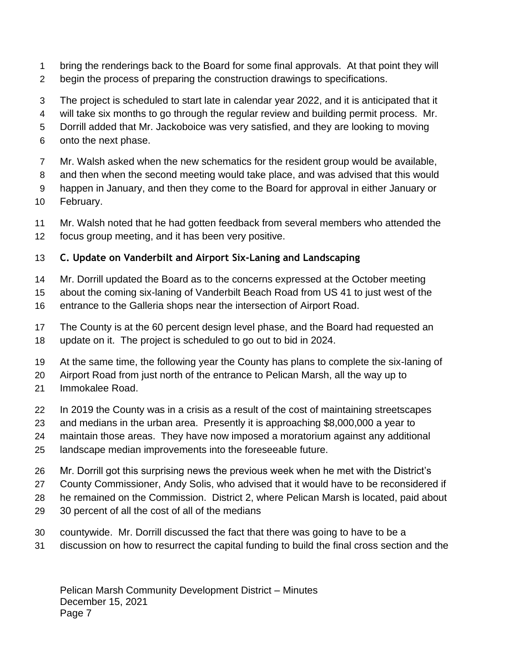- bring the renderings back to the Board for some final approvals. At that point they will
- begin the process of preparing the construction drawings to specifications.
- The project is scheduled to start late in calendar year 2022, and it is anticipated that it
- will take six months to go through the regular review and building permit process. Mr.
- Dorrill added that Mr. Jackoboice was very satisfied, and they are looking to moving
- onto the next phase.
- Mr. Walsh asked when the new schematics for the resident group would be available,
- and then when the second meeting would take place, and was advised that this would
- happen in January, and then they come to the Board for approval in either January or
- February.
- Mr. Walsh noted that he had gotten feedback from several members who attended the focus group meeting, and it has been very positive.

# **C. Update on Vanderbilt and Airport Six-Laning and Landscaping**

- Mr. Dorrill updated the Board as to the concerns expressed at the October meeting
- about the coming six-laning of Vanderbilt Beach Road from US 41 to just west of the
- entrance to the Galleria shops near the intersection of Airport Road.
- The County is at the 60 percent design level phase, and the Board had requested an update on it. The project is scheduled to go out to bid in 2024.
- At the same time, the following year the County has plans to complete the six-laning of
- Airport Road from just north of the entrance to Pelican Marsh, all the way up to
- Immokalee Road.
- In 2019 the County was in a crisis as a result of the cost of maintaining streetscapes
- and medians in the urban area. Presently it is approaching \$8,000,000 a year to
- maintain those areas. They have now imposed a moratorium against any additional landscape median improvements into the foreseeable future.
- Mr. Dorrill got this surprising news the previous week when he met with the District's
- County Commissioner, Andy Solis, who advised that it would have to be reconsidered if
- he remained on the Commission. District 2, where Pelican Marsh is located, paid about
- 30 percent of all the cost of all of the medians
- countywide. Mr. Dorrill discussed the fact that there was going to have to be a
- discussion on how to resurrect the capital funding to build the final cross section and the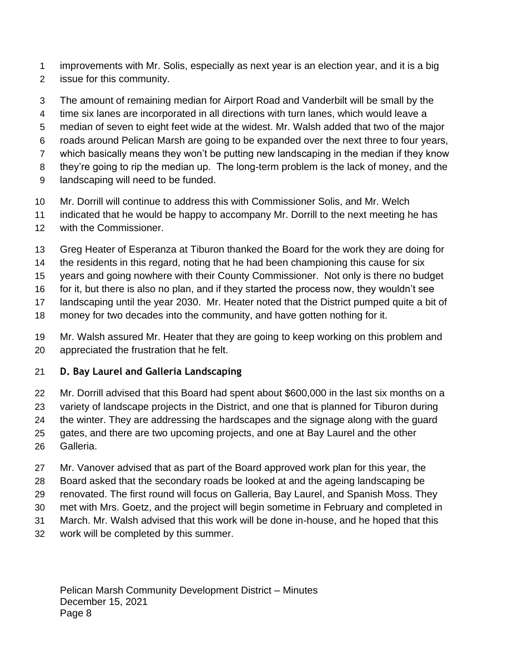- improvements with Mr. Solis, especially as next year is an election year, and it is a big
- issue for this community.
- The amount of remaining median for Airport Road and Vanderbilt will be small by the
- time six lanes are incorporated in all directions with turn lanes, which would leave a
- median of seven to eight feet wide at the widest. Mr. Walsh added that two of the major
- roads around Pelican Marsh are going to be expanded over the next three to four years,
- which basically means they won't be putting new landscaping in the median if they know
- they're going to rip the median up. The long-term problem is the lack of money, and the
- landscaping will need to be funded.
- Mr. Dorrill will continue to address this with Commissioner Solis, and Mr. Welch
- indicated that he would be happy to accompany Mr. Dorrill to the next meeting he has
- with the Commissioner.
- Greg Heater of Esperanza at Tiburon thanked the Board for the work they are doing for
- the residents in this regard, noting that he had been championing this cause for six
- years and going nowhere with their County Commissioner. Not only is there no budget
- for it, but there is also no plan, and if they started the process now, they wouldn't see
- landscaping until the year 2030. Mr. Heater noted that the District pumped quite a bit of
- money for two decades into the community, and have gotten nothing for it.
- Mr. Walsh assured Mr. Heater that they are going to keep working on this problem and appreciated the frustration that he felt.

## **D. Bay Laurel and Galleria Landscaping**

- Mr. Dorrill advised that this Board had spent about \$600,000 in the last six months on a variety of landscape projects in the District, and one that is planned for Tiburon during the winter. They are addressing the hardscapes and the signage along with the guard gates, and there are two upcoming projects, and one at Bay Laurel and the other Galleria.
- Mr. Vanover advised that as part of the Board approved work plan for this year, the
- Board asked that the secondary roads be looked at and the ageing landscaping be
- renovated. The first round will focus on Galleria, Bay Laurel, and Spanish Moss. They
- met with Mrs. Goetz, and the project will begin sometime in February and completed in
- March. Mr. Walsh advised that this work will be done in-house, and he hoped that this
- work will be completed by this summer.